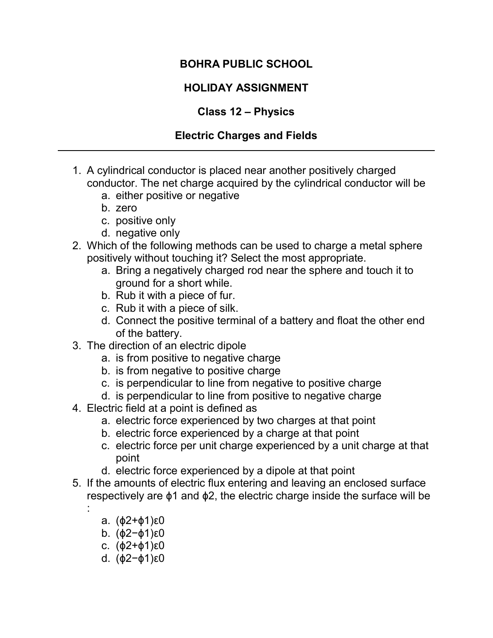### BOHRA PUBLIC SCHOOL

## HOLIDAY ASSIGNMENT

### Class 12 – Physics

### Electric Charges and Fields

- 1. A cylindrical conductor is placed near another positively charged conductor. The net charge acquired by the cylindrical conductor will be
	- a. either positive or negative
	- b. zero
	- c. positive only
	- d. negative only
- 2. Which of the following methods can be used to charge a metal sphere positively without touching it? Select the most appropriate.
	- a. Bring a negatively charged rod near the sphere and touch it to ground for a short while.
	- b. Rub it with a piece of fur.
	- c. Rub it with a piece of silk.
	- d. Connect the positive terminal of a battery and float the other end of the battery.
- 3. The direction of an electric dipole
	- a. is from positive to negative charge
	- b. is from negative to positive charge
	- c. is perpendicular to line from negative to positive charge
	- d. is perpendicular to line from positive to negative charge
- 4. Electric field at a point is defined as
	- a. electric force experienced by two charges at that point
	- b. electric force experienced by a charge at that point
	- c. electric force per unit charge experienced by a unit charge at that point
	- d. electric force experienced by a dipole at that point
- 5. If the amounts of electric flux entering and leaving an enclosed surface respectively are ϕ1 and ϕ2, the electric charge inside the surface will be
	- a. (ϕ2+ϕ1)ε0

:

- b. (ϕ2−ϕ1)ε0
- c. (ϕ2+ϕ1)ε0
- d. (ϕ2−ϕ1)ε0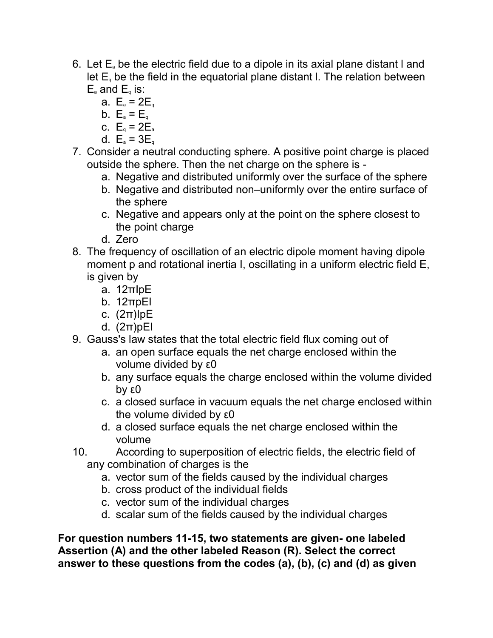- 6. Let  $E_a$  be the electric field due to a dipole in its axial plane distant I and let  $E<sub>a</sub>$  be the field in the equatorial plane distant I. The relation between  $E_a$  and  $E_a$  is:
	- a.  $E_a = 2E_a$
	- b.  $E_a = E_q$
	- c.  $E_a = 2E_a$
	- d.  $E_a = 3E_a$
- 7. Consider a neutral conducting sphere. A positive point charge is placed outside the sphere. Then the net charge on the sphere is
	- a. Negative and distributed uniformly over the surface of the sphere
	- b. Negative and distributed non–uniformly over the entire surface of the sphere
	- c. Negative and appears only at the point on the sphere closest to the point charge
	- d. Zero
- 8. The frequency of oscillation of an electric dipole moment having dipole moment p and rotational inertia I, oscillating in a uniform electric field E, is given by
	- a. 12πIpE
	- b. 12πpEI
	- c. (2π)IpE
	- d. (2π)pEI
- 9. Gauss's law states that the total electric field flux coming out of
	- a. an open surface equals the net charge enclosed within the volume divided by ε0
	- b. any surface equals the charge enclosed within the volume divided by ε0
	- c. a closed surface in vacuum equals the net charge enclosed within the volume divided by ε0
	- d. a closed surface equals the net charge enclosed within the volume
- 10. According to superposition of electric fields, the electric field of any combination of charges is the
	- a. vector sum of the fields caused by the individual charges
	- b. cross product of the individual fields
	- c. vector sum of the individual charges
	- d. scalar sum of the fields caused by the individual charges

For question numbers 11-15, two statements are given- one labeled Assertion (A) and the other labeled Reason (R). Select the correct answer to these questions from the codes (a), (b), (c) and (d) as given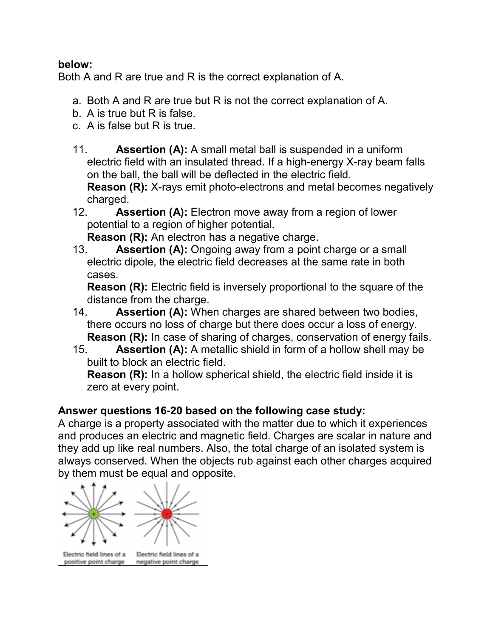#### below:

Both A and R are true and R is the correct explanation of A.

- a. Both A and R are true but R is not the correct explanation of A.
- b. A is true but R is false.
- c. A is false but R is true.
- 11. **Assertion (A):** A small metal ball is suspended in a uniform electric field with an insulated thread. If a high-energy X-ray beam falls on the ball, the ball will be deflected in the electric field.

Reason (R): X-rays emit photo-electrons and metal becomes negatively charged.

12. Assertion (A): Electron move away from a region of lower potential to a region of higher potential.

Reason (R): An electron has a negative charge.

13. **Assertion (A):** Ongoing away from a point charge or a small electric dipole, the electric field decreases at the same rate in both cases.

Reason (R): Electric field is inversely proportional to the square of the distance from the charge.

- 14. Assertion (A): When charges are shared between two bodies, there occurs no loss of charge but there does occur a loss of energy. Reason (R): In case of sharing of charges, conservation of energy fails.
- 15. Assertion (A): A metallic shield in form of a hollow shell may be built to block an electric field.

Reason (R): In a hollow spherical shield, the electric field inside it is zero at every point.

## Answer questions 16-20 based on the following case study:

A charge is a property associated with the matter due to which it experiences and produces an electric and magnetic field. Charges are scalar in nature and they add up like real numbers. Also, the total charge of an isolated system is always conserved. When the objects rub against each other charges acquired by them must be equal and opposite.

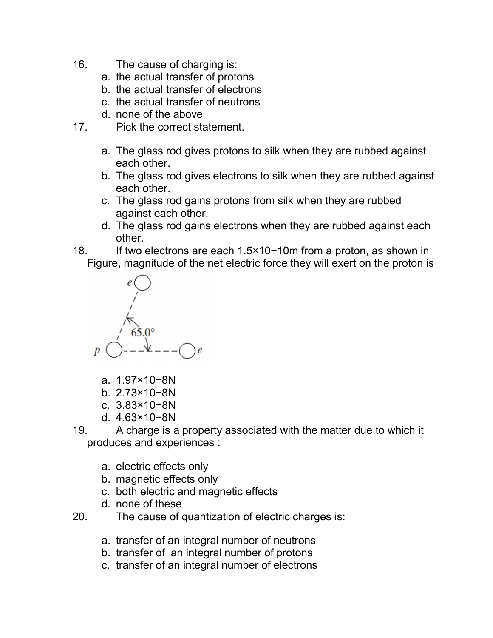- 16. The cause of charging is:
	- a. the actual transfer of protons
	- b. the actual transfer of electrons
	- c. the actual transfer of neutrons
	- d. none of the above
- 17. Pick the correct statement.
	- a. The glass rod gives protons to silk when they are rubbed against each other.
	- b. The glass rod gives electrons to silk when they are rubbed against each other.
	- c. The glass rod gains protons from silk when they are rubbed against each other.
	- d. The glass rod gains electrons when they are rubbed against each other.
- 18. If two electrons are each 1.5×10−10m from a proton, as shown in
	- Figure, magnitude of the net electric force they will exert on the proton is



- a. 1.97×10−8N
- b. 2.73×10−8N
- c. 3.83×10−8N
- d. 4.63×10−8N
- 19. A charge is a property associated with the matter due to which it produces and experiences :
	- a. electric effects only
	- b. magnetic effects only
	- c. both electric and magnetic effects
	- d. none of these
- 20. The cause of quantization of electric charges is:
	- a. transfer of an integral number of neutrons
	- b. transfer of an integral number of protons
	- c. transfer of an integral number of electrons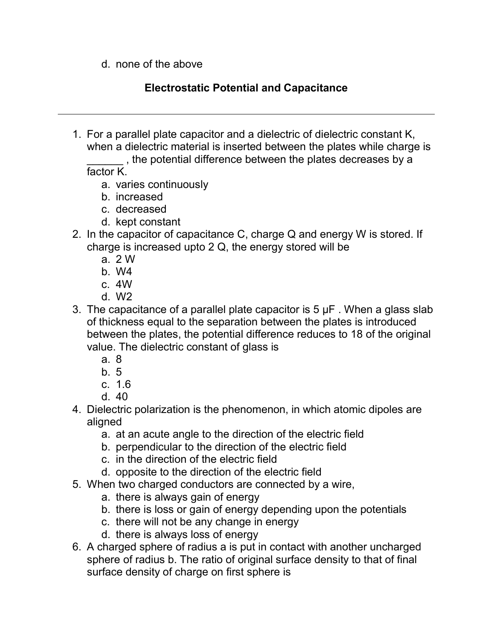d. none of the above

# Electrostatic Potential and Capacitance

1. For a parallel plate capacitor and a dielectric of dielectric constant K, when a dielectric material is inserted between the plates while charge is

\_\_\_\_\_\_ , the potential difference between the plates decreases by a

factor K.

- a. varies continuously
- b. increased
- c. decreased
- d. kept constant
- 2. In the capacitor of capacitance C, charge Q and energy W is stored. If charge is increased upto 2 Q, the energy stored will be
	- a. 2 W
	- b. W4
	- c. 4W
	- d. W2
- 3. The capacitance of a parallel plate capacitor is  $5 \mu$ F. When a glass slab of thickness equal to the separation between the plates is introduced between the plates, the potential difference reduces to 18 of the original value. The dielectric constant of glass is
	- a. 8
	- b. 5
	- c. 1.6
	- d. 40
- 4. Dielectric polarization is the phenomenon, in which atomic dipoles are aligned
	- a. at an acute angle to the direction of the electric field
	- b. perpendicular to the direction of the electric field
	- c. in the direction of the electric field
	- d. opposite to the direction of the electric field
- 5. When two charged conductors are connected by a wire,
	- a. there is always gain of energy
	- b. there is loss or gain of energy depending upon the potentials
	- c. there will not be any change in energy
	- d. there is always loss of energy
- 6. A charged sphere of radius a is put in contact with another uncharged sphere of radius b. The ratio of original surface density to that of final surface density of charge on first sphere is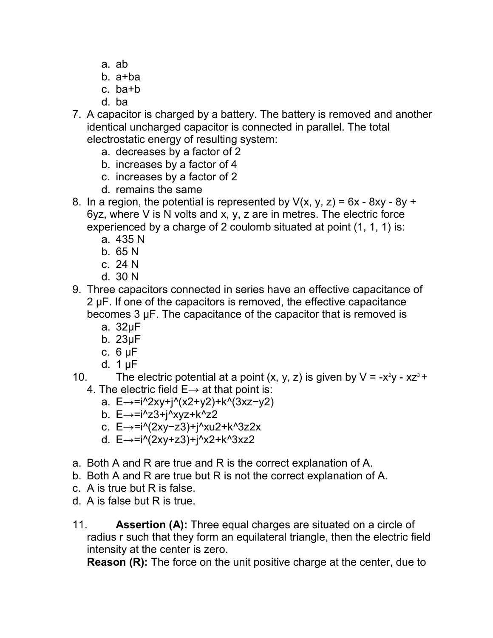- a. ab
- b. a+ba
- c. ba+b
- d. ba
- 7. A capacitor is charged by a battery. The battery is removed and another identical uncharged capacitor is connected in parallel. The total electrostatic energy of resulting system:
	- a. decreases by a factor of 2
	- b. increases by a factor of 4
	- c. increases by a factor of 2
	- d. remains the same
- 8. In a region, the potential is represented by  $V(x, y, z) = 6x 8xy 8y + 6z$ 6yz, where V is N volts and x, y, z are in metres. The electric force experienced by a charge of 2 coulomb situated at point (1, 1, 1) is:
	- a. 435 N
	- b. 65 N
	- c. 24 N
	- d. 30 N
- 9. Three capacitors connected in series have an effective capacitance of 2 μF. If one of the capacitors is removed, the effective capacitance becomes 3 μF. The capacitance of the capacitor that is removed is
	- a. 32μF
	- b. 23μF
	- c. 6 μF
	- d. 1 μF
- 10. The electric potential at a point  $(x, y, z)$  is given by  $V = -x^2y xz^3 + y^2$ 4. The electric field  $E \rightarrow$  at that point is:
	- a. E→=i^2xy+j^(x2+y2)+k^(3xz−y2)
	- b. E→=i^z3+j^xyz+k^z2
	- c. E→=i^(2xy−z3)+j^xu2+k^3z2x
	- d. E→=i^(2xy+z3)+j^x2+k^3xz2
- a. Both A and R are true and R is the correct explanation of A.
- b. Both A and R are true but R is not the correct explanation of A.
- c. A is true but R is false.
- d. A is false but R is true.
- 11. **Assertion (A):** Three equal charges are situated on a circle of radius r such that they form an equilateral triangle, then the electric field intensity at the center is zero.

Reason (R): The force on the unit positive charge at the center, due to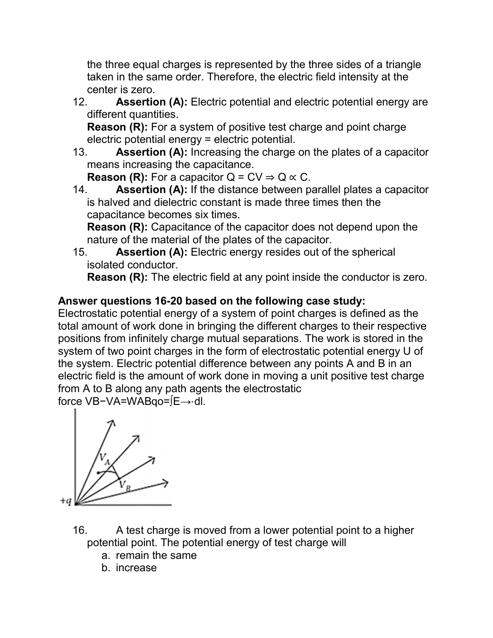the three equal charges is represented by the three sides of a triangle taken in the same order. Therefore, the electric field intensity at the center is zero.

12. **Assertion (A):** Electric potential and electric potential energy are different quantities.

Reason (R): For a system of positive test charge and point charge electric potential energy = electric potential.

13. **Assertion (A):** Increasing the charge on the plates of a capacitor means increasing the capacitance.

**Reason (R):** For a capacitor  $Q = CV \Rightarrow Q \propto C$ .

14. Assertion (A): If the distance between parallel plates a capacitor is halved and dielectric constant is made three times then the capacitance becomes six times.

Reason (R): Capacitance of the capacitor does not depend upon the nature of the material of the plates of the capacitor.

15. Assertion (A): Electric energy resides out of the spherical isolated conductor.

Reason (R): The electric field at any point inside the conductor is zero.

## Answer questions 16-20 based on the following case study:

Electrostatic potential energy of a system of point charges is defined as the total amount of work done in bringing the different charges to their respective positions from infinitely charge mutual separations. The work is stored in the system of two point charges in the form of electrostatic potential energy U of the system. Electric potential difference between any points A and B in an electric field is the amount of work done in moving a unit positive test charge from A to B along any path agents the electrostatic force VB−VA=WABqo=∫E→⋅dl.



- 16. A test charge is moved from a lower potential point to a higher potential point. The potential energy of test charge will
	- a. remain the same
	- b. increase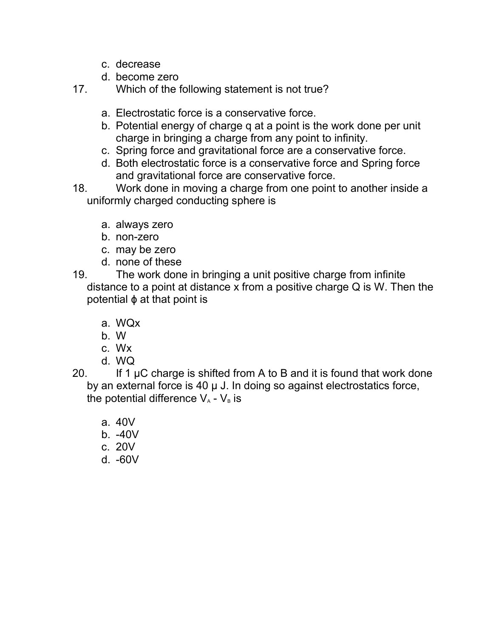- c. decrease
- d. become zero

17. Which of the following statement is not true?

- a. Electrostatic force is a conservative force.
- b. Potential energy of charge q at a point is the work done per unit charge in bringing a charge from any point to infinity.
- c. Spring force and gravitational force are a conservative force.
- d. Both electrostatic force is a conservative force and Spring force and gravitational force are conservative force.
- 18. Work done in moving a charge from one point to another inside a uniformly charged conducting sphere is
	- a. always zero
	- b. non-zero
	- c. may be zero
	- d. none of these
- 19. The work done in bringing a unit positive charge from infinite distance to a point at distance x from a positive charge Q is W. Then the potential ϕ at that point is
	- a. WQx
	- b. W
	- c. Wx
	- d. WQ
- 20. If 1  $\mu$ C charge is shifted from A to B and it is found that work done by an external force is 40 μ J. In doing so against electrostatics force, the potential difference  $V_A$  -  $V_B$  is
	- a. 40V
	- b. -40V
	- c. 20V
	- d. -60V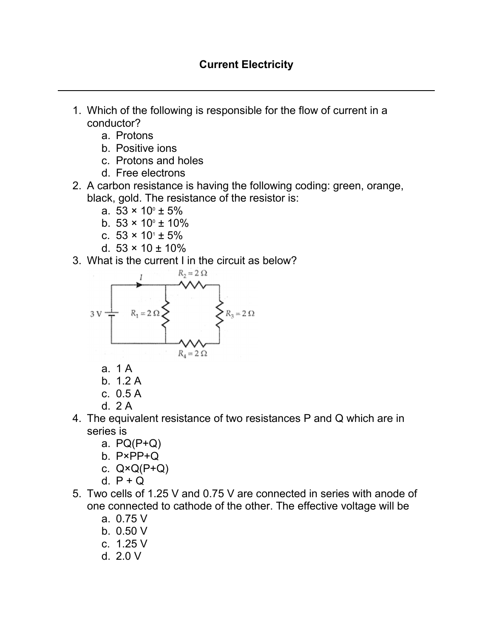- 1. Which of the following is responsible for the flow of current in a conductor?
	- a. Protons
	- b. Positive ions
	- c. Protons and holes
	- d. Free electrons
- 2. A carbon resistance is having the following coding: green, orange, black, gold. The resistance of the resistor is:
	- a.  $53 \times 10^{\circ} \pm 5\%$
	- b.  $53 \times 10^{\circ} \pm 10\%$
	- c.  $53 \times 10^{1} \pm 5\%$
	- d.  $53 \times 10 \pm 10\%$
- 3. What is the current I in the circuit as below?



- a. 1 A
- b. 1.2 A
- c. 0.5 A
- d. 2 A
- 4. The equivalent resistance of two resistances P and Q which are in series is
	- a. PQ(P+Q)
	- b. P×PP+Q
	- c.  $Q \times Q(P+Q)$
	- d.  $P + Q$
- 5. Two cells of 1.25 V and 0.75 V are connected in series with anode of one connected to cathode of the other. The effective voltage will be
	- a. 0.75 V
	- b. 0.50 V
	- c. 1.25 V
	- d. 2.0 V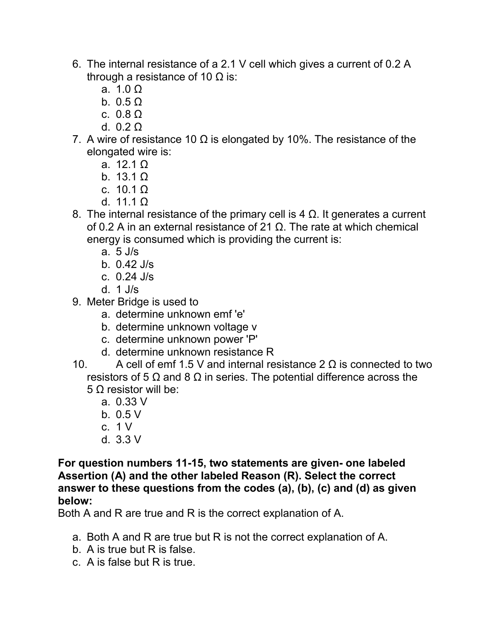- 6. The internal resistance of a 2.1 V cell which gives a current of 0.2 A through a resistance of 10  $\Omega$  is:
	- a. 1.0 Ω
	- b.  $0.5 \Omega$
	- c. 0.8 Ω
	- d. 0.2 Ω
- 7. A wire of resistance 10  $\Omega$  is elongated by 10%. The resistance of the elongated wire is:
	- a. 12.1 Ω
	- b.  $13.1 \Omega$
	- c.  $10.1 Ω$
	- d. 11.1 Ω
- 8. The internal resistance of the primary cell is 4  $Ω$ . It generates a current of 0.2 A in an external resistance of 21 Ω. The rate at which chemical energy is consumed which is providing the current is:
	- a. 5 J/s
	- b. 0.42 J/s
	- c. 0.24 J/s
	- d. 1 J/s
- 9. Meter Bridge is used to
	- a. determine unknown emf 'e'
	- b. determine unknown voltage v
	- c. determine unknown power 'P'
	- d. determine unknown resistance R

10. A cell of emf 1.5 V and internal resistance  $2 \Omega$  is connected to two resistors of 5  $\Omega$  and 8  $\Omega$  in series. The potential difference across the 5 Ω resistor will be:

- a. 0.33 V
- b. 0.5 V
- c. 1 V
- d. 3.3 V

For question numbers 11-15, two statements are given- one labeled Assertion (A) and the other labeled Reason (R). Select the correct answer to these questions from the codes (a), (b), (c) and (d) as given below:

Both A and R are true and R is the correct explanation of A.

- a. Both A and R are true but R is not the correct explanation of A.
- b. A is true but R is false.
- c. A is false but R is true.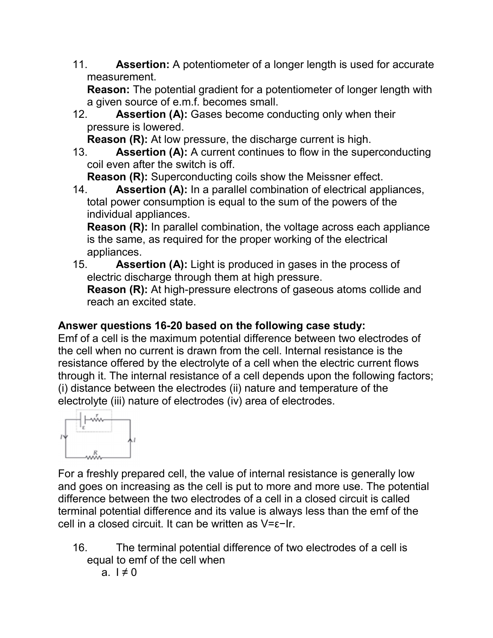11. **Assertion:** A potentiometer of a longer length is used for accurate measurement.

Reason: The potential gradient for a potentiometer of longer length with a given source of e.m.f. becomes small.

12. **Assertion (A):** Gases become conducting only when their pressure is lowered.

Reason (R): At low pressure, the discharge current is high.

13. **Assertion (A):** A current continues to flow in the superconducting coil even after the switch is off.

Reason (R): Superconducting coils show the Meissner effect.

14. **Assertion (A):** In a parallel combination of electrical appliances, total power consumption is equal to the sum of the powers of the individual appliances.

Reason (R): In parallel combination, the voltage across each appliance is the same, as required for the proper working of the electrical appliances.

15. Assertion (A): Light is produced in gases in the process of electric discharge through them at high pressure.

Reason (R): At high-pressure electrons of gaseous atoms collide and reach an excited state.

# Answer questions 16-20 based on the following case study:

Emf of a cell is the maximum potential difference between two electrodes of the cell when no current is drawn from the cell. Internal resistance is the resistance offered by the electrolyte of a cell when the electric current flows through it. The internal resistance of a cell depends upon the following factors; (i) distance between the electrodes (ii) nature and temperature of the electrolyte (iii) nature of electrodes (iv) area of electrodes.



For a freshly prepared cell, the value of internal resistance is generally low and goes on increasing as the cell is put to more and more use. The potential difference between the two electrodes of a cell in a closed circuit is called terminal potential difference and its value is always less than the emf of the cell in a closed circuit. It can be written as V=ε−Ir.

- 16. The terminal potential difference of two electrodes of a cell is equal to emf of the cell when
	- a.  $1 \neq 0$